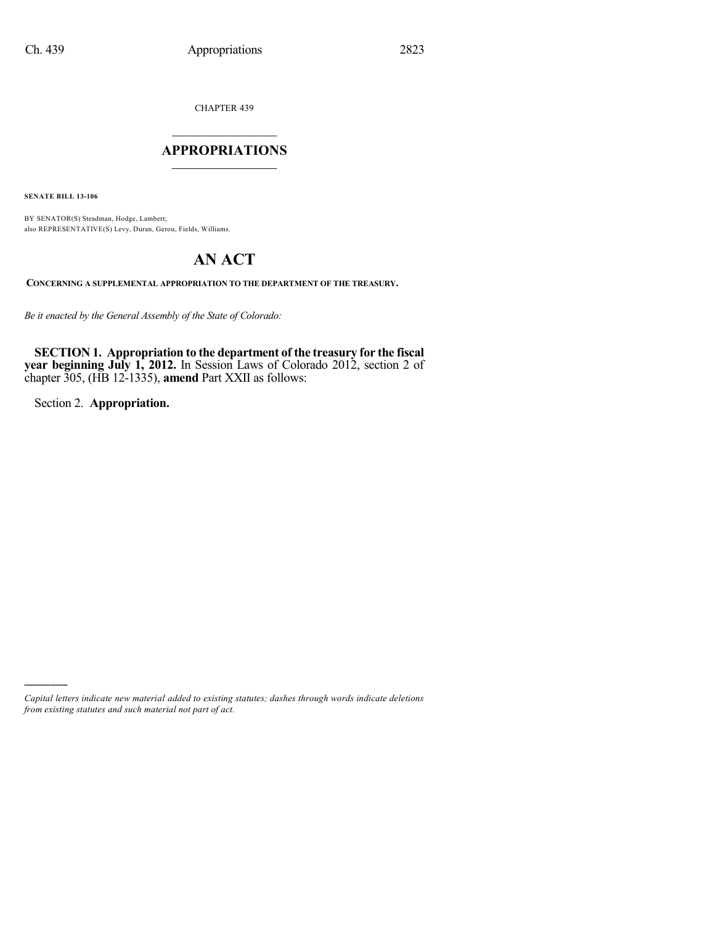CHAPTER 439

### $\overline{\phantom{a}}$  . The set of the set of the set of the set of the set of the set of the set of the set of the set of the set of the set of the set of the set of the set of the set of the set of the set of the set of the set o **APPROPRIATIONS**  $\_$   $\_$   $\_$   $\_$   $\_$   $\_$   $\_$   $\_$

**SENATE BILL 13-106**

BY SENATOR(S) Steadman, Hodge, Lambert; also REPRESENTATIVE(S) Levy, Duran, Gerou, Fields, Williams.

# **AN ACT**

**CONCERNING A SUPPLEMENTAL APPROPRIATION TO THE DEPARTMENT OF THE TREASURY.**

*Be it enacted by the General Assembly of the State of Colorado:*

**SECTION 1. Appropriation to the department of the treasury for the fiscal year beginning July 1, 2012.** In Session Laws of Colorado 2012, section 2 of chapter 305, (HB 12-1335), **amend** Part XXII as follows:

Section 2. **Appropriation.**

)))))

*Capital letters indicate new material added to existing statutes; dashes through words indicate deletions from existing statutes and such material not part of act.*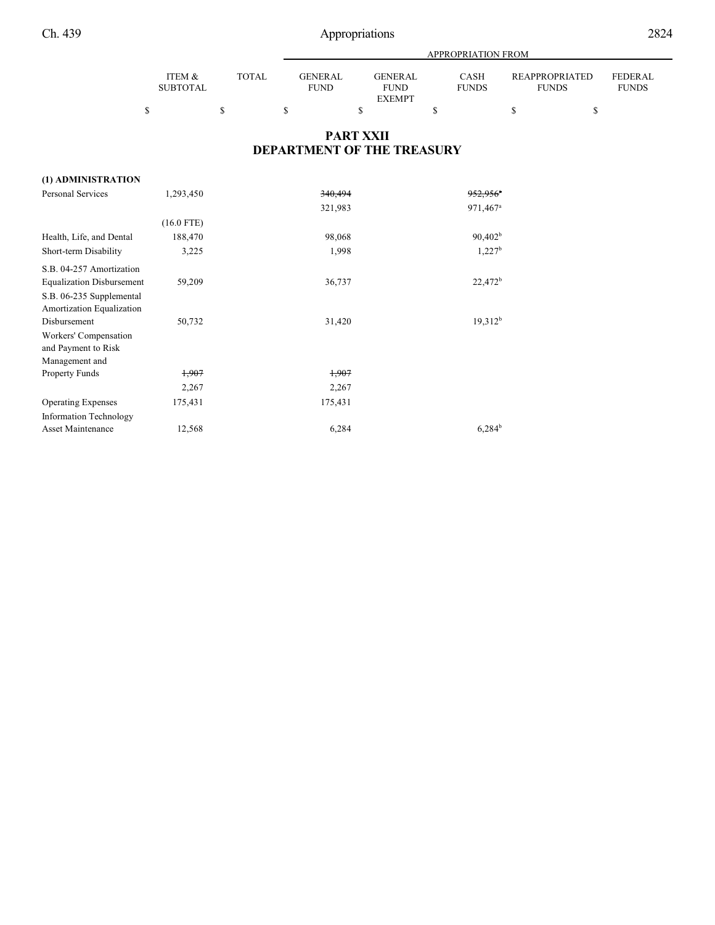|  | 2824 |
|--|------|
|  |      |

|                           |              |                               | <b>APPROPRIATION FROM</b>     |                             |                                |                         |  |  |  |  |
|---------------------------|--------------|-------------------------------|-------------------------------|-----------------------------|--------------------------------|-------------------------|--|--|--|--|
| ITEM &<br><b>SUBTOTAL</b> | <b>TOTAL</b> | <b>GENERAL</b><br><b>FUND</b> | <b>GENERAL</b><br><b>FUND</b> | <b>CASH</b><br><b>FUNDS</b> | REAPPROPRIATED<br><b>FUNDS</b> | FEDERAL<br><b>FUNDS</b> |  |  |  |  |
|                           |              |                               | <b>EXEMPT</b>                 |                             |                                |                         |  |  |  |  |
|                           |              |                               |                               |                             |                                |                         |  |  |  |  |

### **PART XXII DEPARTMENT OF THE TREASURY**

### **(1) ADMINISTRATION**

| <b>Personal Services</b>         | 1,293,450    | 340,494 | $952.956$ <sup>*</sup> |
|----------------------------------|--------------|---------|------------------------|
|                                  |              | 321,983 | 971,467 <sup>a</sup>   |
|                                  | $(16.0$ FTE) |         |                        |
| Health, Life, and Dental         | 188,470      | 98,068  | 90,402 <sup>b</sup>    |
| Short-term Disability            | 3,225        | 1,998   | 1,227 <sup>b</sup>     |
| S.B. 04-257 Amortization         |              |         |                        |
| <b>Equalization Disbursement</b> | 59,209       | 36,737  | $22,472^b$             |
| S.B. 06-235 Supplemental         |              |         |                        |
| Amortization Equalization        |              |         |                        |
| Disbursement                     | 50,732       | 31,420  | 19,312 <sup>b</sup>    |
| Workers' Compensation            |              |         |                        |
| and Payment to Risk              |              |         |                        |
| Management and                   |              |         |                        |
| <b>Property Funds</b>            | 1,907        | 1,907   |                        |
|                                  | 2,267        | 2,267   |                        |
| <b>Operating Expenses</b>        | 175,431      | 175,431 |                        |
| Information Technology           |              |         |                        |
| <b>Asset Maintenance</b>         | 12,568       | 6,284   | $6,284^{\rm b}$        |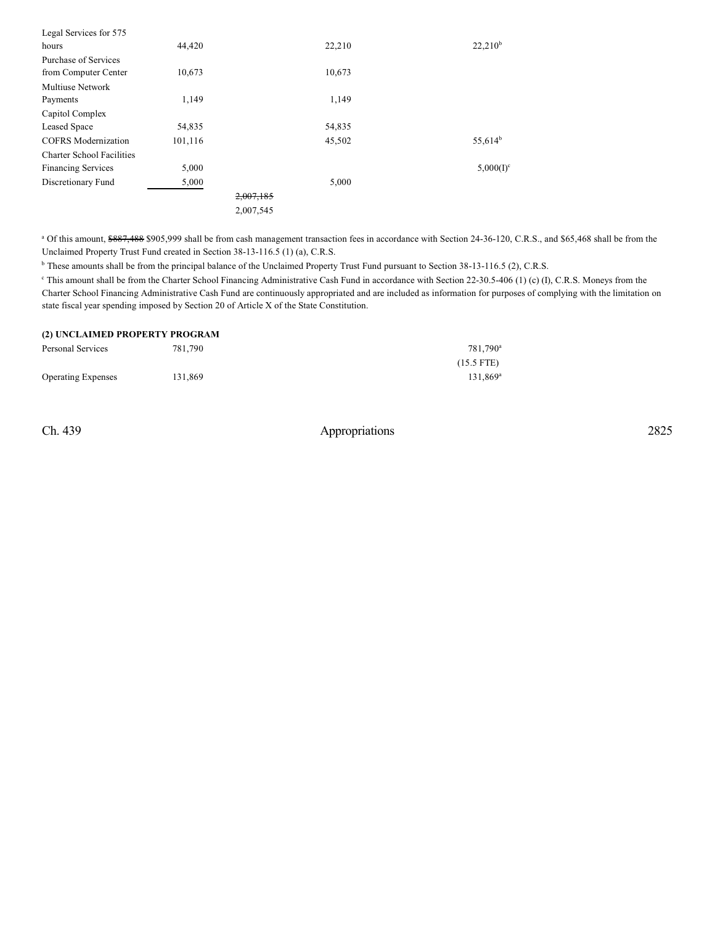| Legal Services for 575           |         |           |        |                     |
|----------------------------------|---------|-----------|--------|---------------------|
| hours                            | 44,420  |           | 22,210 | $22,210^b$          |
| Purchase of Services             |         |           |        |                     |
| from Computer Center             | 10,673  |           | 10,673 |                     |
| <b>Multiuse Network</b>          |         |           |        |                     |
| Payments                         | 1,149   |           | 1,149  |                     |
| Capitol Complex                  |         |           |        |                     |
| Leased Space                     | 54,835  |           | 54,835 |                     |
| <b>COFRS</b> Modernization       | 101,116 |           | 45,502 | 55,614 <sup>b</sup> |
| <b>Charter School Facilities</b> |         |           |        |                     |
| <b>Financing Services</b>        | 5,000   |           |        | $5,000(I)^c$        |
| Discretionary Fund               | 5,000   |           | 5,000  |                     |
|                                  |         | 2,007,185 |        |                     |
|                                  |         | 2,007,545 |        |                     |

<sup>a</sup> Of this amount, \$887,488 \$905,999 shall be from cash management transaction fees in accordance with Section 24-36-120, C.R.S., and \$65,468 shall be from the Unclaimed Property Trust Fund created in Section 38-13-116.5 (1) (a), C.R.S.

<sup>b</sup> These amounts shall be from the principal balance of the Unclaimed Property Trust Fund pursuant to Section 38-13-116.5 (2), C.R.S.

<sup>e</sup> This amount shall be from the Charter School Financing Administrative Cash Fund in accordance with Section 22-30.5-406 (1) (c) (I), C.R.S. Moneys from the Charter School Financing Administrative Cash Fund are continuously appropriated and are included as information for purposes of complying with the limitation on state fiscal year spending imposed by Section 20 of Article X of the State Constitution.

#### **(2) UNCLAIMED PROPERTY PROGRAM**

| Personal Services         | 781.790 | 781.790 <sup>a</sup> |
|---------------------------|---------|----------------------|
|                           |         | $(15.5$ FTE)         |
| <b>Operating Expenses</b> | 131.869 | 131.869 <sup>a</sup> |

Ch. 439 Appropriations 2825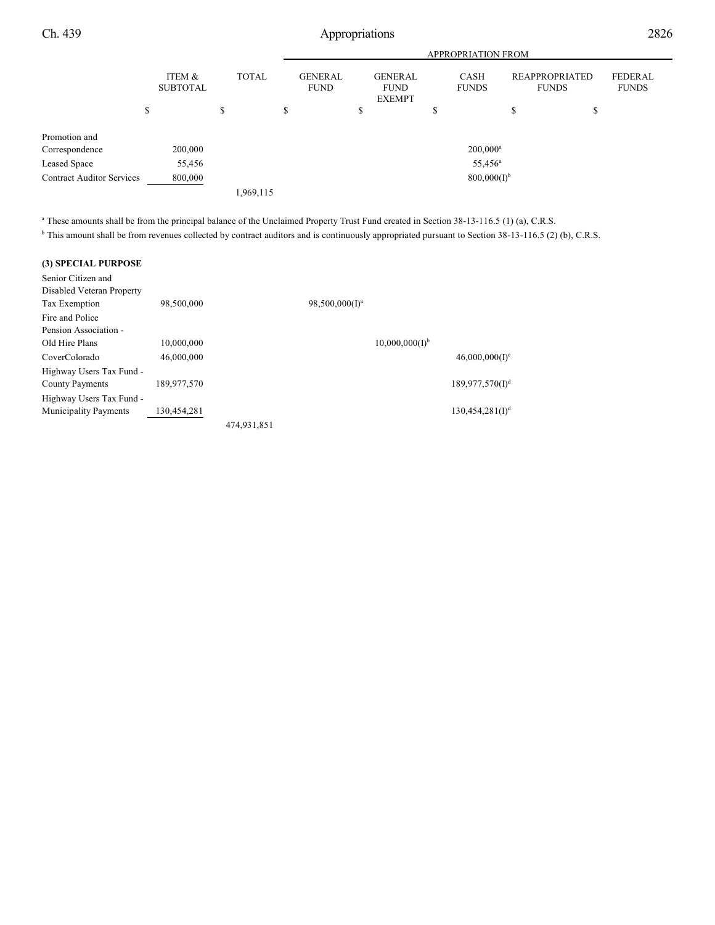Ch. 439 Appropriations 2826

|                                  | <b>APPROPRIATION FROM</b> |              |    |                               |                                                |    |                             |                                |                         |
|----------------------------------|---------------------------|--------------|----|-------------------------------|------------------------------------------------|----|-----------------------------|--------------------------------|-------------------------|
|                                  | ITEM &<br><b>SUBTOTAL</b> | <b>TOTAL</b> |    | <b>GENERAL</b><br><b>FUND</b> | <b>GENERAL</b><br><b>FUND</b><br><b>EXEMPT</b> |    | <b>CASH</b><br><b>FUNDS</b> | REAPPROPRIATED<br><b>FUNDS</b> | FEDERAL<br><b>FUNDS</b> |
|                                  | \$                        | \$           | \$ |                               | \$                                             | \$ |                             | ¢<br>Φ                         | \$                      |
| Promotion and                    |                           |              |    |                               |                                                |    |                             |                                |                         |
| Correspondence                   | 200,000                   |              |    |                               |                                                |    | $200,000^a$                 |                                |                         |
| Leased Space                     | 55,456                    |              |    |                               |                                                |    | 55,456 <sup>a</sup>         |                                |                         |
| <b>Contract Auditor Services</b> | 800,000                   |              |    |                               |                                                |    | $800,000(I)^{b}$            |                                |                         |
|                                  |                           | 1,969,115    |    |                               |                                                |    |                             |                                |                         |

<sup>a</sup> These amounts shall be from the principal balance of the Unclaimed Property Trust Fund created in Section 38-13-116.5 (1) (a), C.R.S.

<sup>b</sup> This amount shall be from revenues collected by contract auditors and is continuously appropriated pursuant to Section 38-13-116.5 (2) (b), C.R.S.

### **(3) SPECIAL PURPOSE**

| Senior Citizen and           |             |             |                            |                            |                             |
|------------------------------|-------------|-------------|----------------------------|----------------------------|-----------------------------|
| Disabled Veteran Property    |             |             |                            |                            |                             |
| Tax Exemption                | 98,500,000  |             | 98,500,000(I) <sup>a</sup> |                            |                             |
| Fire and Police              |             |             |                            |                            |                             |
| Pension Association -        |             |             |                            |                            |                             |
| Old Hire Plans               | 10,000,000  |             |                            | 10,000,000(1) <sup>b</sup> |                             |
| CoverColorado                | 46,000,000  |             |                            |                            | $46,000,000(1)^c$           |
| Highway Users Tax Fund -     |             |             |                            |                            |                             |
| County Payments              | 189,977,570 |             |                            |                            | 189,977,570(1) <sup>d</sup> |
| Highway Users Tax Fund -     |             |             |                            |                            |                             |
| <b>Municipality Payments</b> | 130,454,281 |             |                            |                            | $130,454,281(I)^d$          |
|                              |             | 474,931,851 |                            |                            |                             |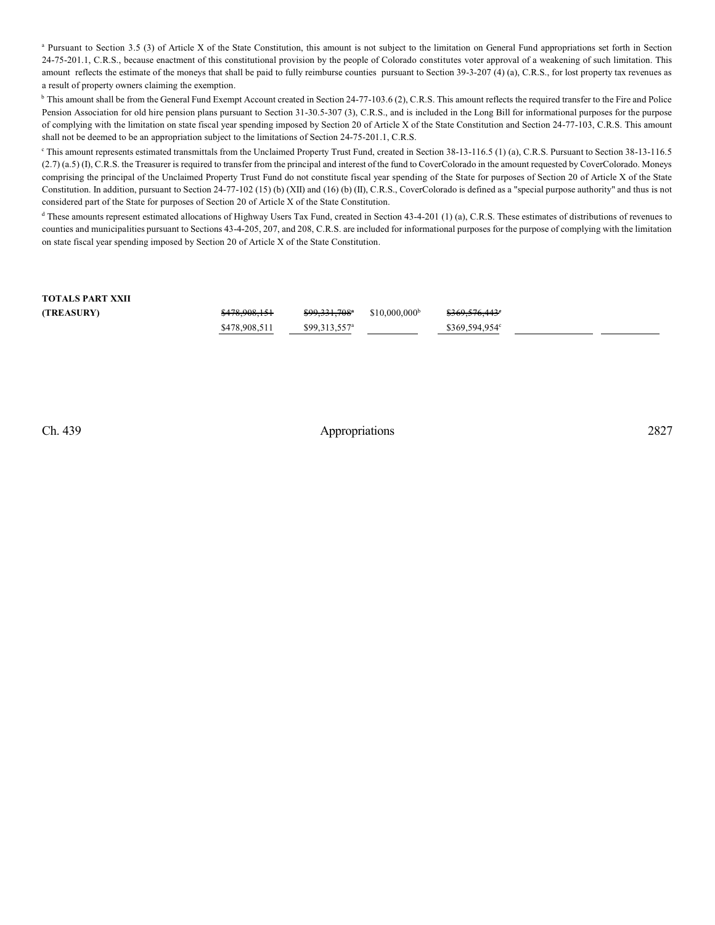<sup>a</sup> Pursuant to Section 3.5 (3) of Article X of the State Constitution, this amount is not subject to the limitation on General Fund appropriations set forth in Section 24-75-201.1, C.R.S., because enactment of this constitutional provision by the people of Colorado constitutes voter approval of a weakening of such limitation. This amount reflects the estimate of the moneys that shall be paid to fully reimburse counties pursuant to Section 39-3-207 (4) (a), C.R.S., for lost property tax revenues as a result of property owners claiming the exemption.

<sup>b</sup> This amount shall be from the General Fund Exempt Account created in Section 24-77-103.6 (2), C.R.S. This amount reflects the required transfer to the Fire and Police Pension Association for old hire pension plans pursuant to Section 31-30.5-307 (3), C.R.S., and is included in the Long Bill for informational purposes for the purpose of complying with the limitation on state fiscal year spending imposed by Section 20 of Article X of the State Constitution and Section 24-77-103, C.R.S. This amount shall not be deemed to be an appropriation subject to the limitations of Section 24-75-201.1, C.R.S.

This amount represents estimated transmittals from the Unclaimed Property Trust Fund, created in Section 38-13-116.5 (1) (a), C.R.S. Pursuant to Section 38-13-116.5 (2.7) (a.5) (I), C.R.S. the Treasurer is required to transfer from the principal and interest of the fund to CoverColorado in the amount requested by CoverColorado. Moneys comprising the principal of the Unclaimed Property Trust Fund do not constitute fiscal year spending of the State for purposes of Section 20 of Article X of the State Constitution. In addition, pursuant to Section 24-77-102 (15) (b) (XII) and (16) (b) (II), C.R.S., CoverColorado is defined as a "special purpose authority" and thus is not considered part of the State for purposes of Section 20 of Article X of the State Constitution.

<sup>d</sup> These amounts represent estimated allocations of Highway Users Tax Fund, created in Section 43-4-201 (1) (a), C.R.S. These estimates of distributions of revenues to counties and municipalities pursuant to Sections 43-4-205, 207, and 208, C.R.S. are included for informational purposes for the purpose of complying with the limitation on state fiscal year spending imposed by Section 20 of Article X of the State Constitution.

## **TOTALS PART XXII (TREASURY)** \$478,908,151 \$99,331,708<sup>\*</sup> \$10,000,000<sup>b</sup> \$369,576,443<sup>\*</sup>  $$478,908,511$   $$99,313,557^a$  \$369,594,954

Ch. 439 Appropriations 2827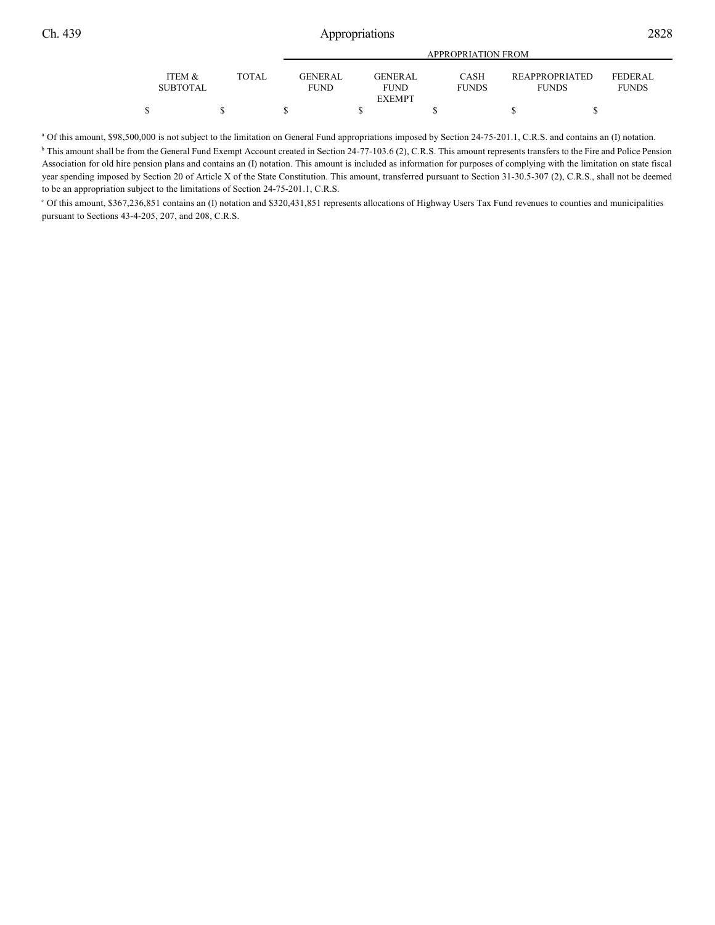|                           |              |                        | APPROPRIATION FROM                             |                             |                                       |                                |  |  |  |
|---------------------------|--------------|------------------------|------------------------------------------------|-----------------------------|---------------------------------------|--------------------------------|--|--|--|
| ITEM &<br><b>SUBTOTAL</b> | <b>TOTAL</b> | GENERAL<br><b>FUND</b> | <b>GENERAL</b><br><b>FUND</b><br><b>EXEMPT</b> | <b>CASH</b><br><b>FUNDS</b> | <b>REAPPROPRIATED</b><br><b>FUNDS</b> | <b>FEDERAL</b><br><b>FUNDS</b> |  |  |  |
|                           |              |                        |                                                |                             |                                       |                                |  |  |  |

<sup>a</sup> Of this amount, \$98,500,000 is not subject to the limitation on General Fund appropriations imposed by Section 24-75-201.1, C.R.S. and contains an (I) notation. <sup>b</sup> This amount shall be from the General Fund Exempt Account created in Section 24-77-103.6 (2), C.R.S. This amount represents transfers to the Fire and Police Pension Association for old hire pension plans and contains an (I) notation. This amount is included as information for purposes of complying with the limitation on state fiscal year spending imposed by Section 20 of Article X of the State Constitution. This amount, transferred pursuant to Section 31-30.5-307 (2), C.R.S., shall not be deemed to be an appropriation subject to the limitations of Section 24-75-201.1, C.R.S.

 $\degree$  Of this amount, \$367,236,851 contains an (I) notation and \$320,431,851 represents allocations of Highway Users Tax Fund revenues to counties and municipalities pursuant to Sections 43-4-205, 207, and 208, C.R.S.